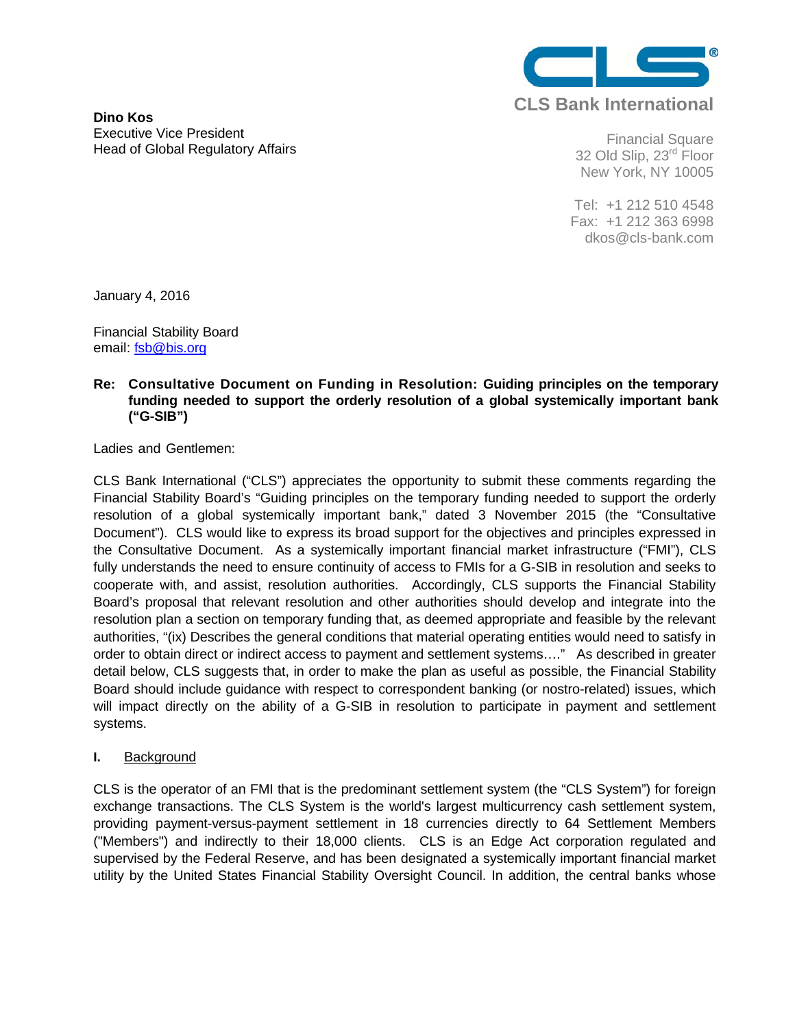

**Dino Kos**  Executive Vice President Head of Global Regulatory Affairs

Financial Square 32 Old Slip, 23<sup>rd</sup> Floor New York, NY 10005

Tel: +1 212 510 4548 Fax: +1 212 363 6998 dkos@cls-bank.com

January 4, 2016

Financial Stability Board email: fsb@bis.org

## **Re: Consultative Document on Funding in Resolution: Guiding principles on the temporary funding needed to support the orderly resolution of a global systemically important bank ("G-SIB")**

Ladies and Gentlemen:

CLS Bank International ("CLS") appreciates the opportunity to submit these comments regarding the Financial Stability Board's "Guiding principles on the temporary funding needed to support the orderly resolution of a global systemically important bank," dated 3 November 2015 (the "Consultative Document"). CLS would like to express its broad support for the objectives and principles expressed in the Consultative Document. As a systemically important financial market infrastructure ("FMI"), CLS fully understands the need to ensure continuity of access to FMIs for a G-SIB in resolution and seeks to cooperate with, and assist, resolution authorities. Accordingly, CLS supports the Financial Stability Board's proposal that relevant resolution and other authorities should develop and integrate into the resolution plan a section on temporary funding that, as deemed appropriate and feasible by the relevant authorities, "(ix) Describes the general conditions that material operating entities would need to satisfy in order to obtain direct or indirect access to payment and settlement systems…." As described in greater detail below, CLS suggests that, in order to make the plan as useful as possible, the Financial Stability Board should include guidance with respect to correspondent banking (or nostro-related) issues, which will impact directly on the ability of a G-SIB in resolution to participate in payment and settlement systems.

## **I.** Background

CLS is the operator of an FMI that is the predominant settlement system (the "CLS System") for foreign exchange transactions. The CLS System is the world's largest multicurrency cash settlement system, providing payment-versus-payment settlement in 18 currencies directly to 64 Settlement Members ("Members") and indirectly to their 18,000 clients. CLS is an Edge Act corporation regulated and supervised by the Federal Reserve, and has been designated a systemically important financial market utility by the United States Financial Stability Oversight Council. In addition, the central banks whose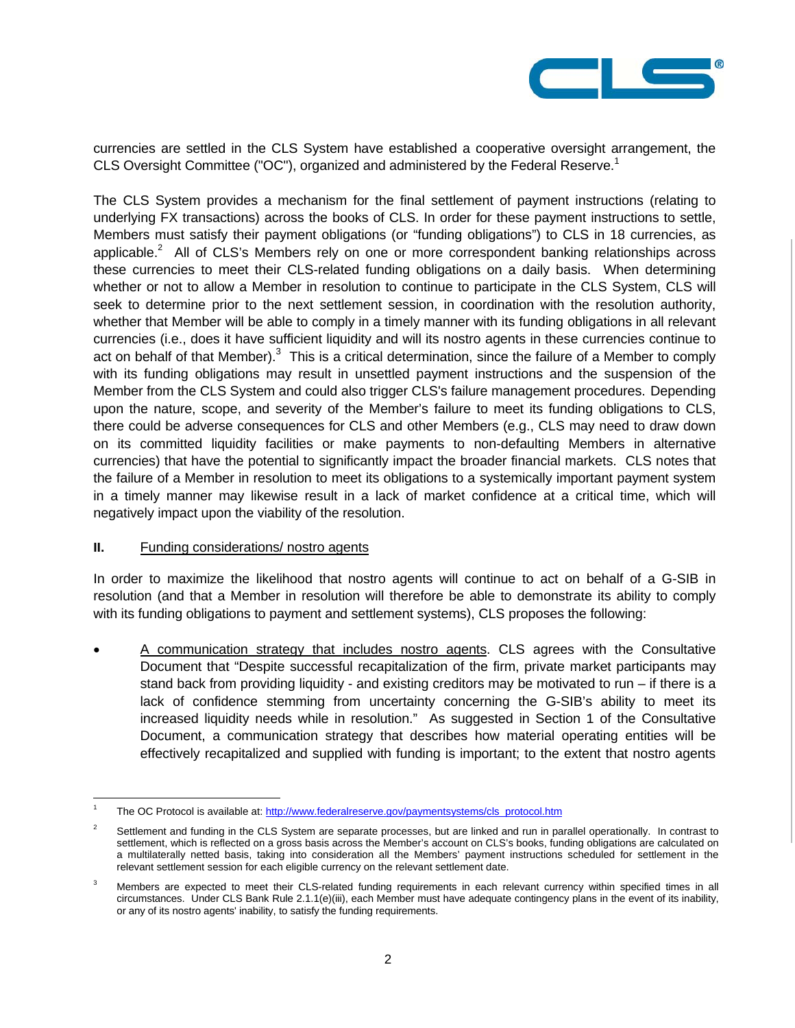

currencies are settled in the CLS System have established a cooperative oversight arrangement, the CLS Oversight Committee ("OC"), organized and administered by the Federal Reserve.<sup>1</sup>

The CLS System provides a mechanism for the final settlement of payment instructions (relating to underlying FX transactions) across the books of CLS. In order for these payment instructions to settle, Members must satisfy their payment obligations (or "funding obligations") to CLS in 18 currencies, as applicable. $2$  All of CLS's Members rely on one or more correspondent banking relationships across these currencies to meet their CLS-related funding obligations on a daily basis. When determining whether or not to allow a Member in resolution to continue to participate in the CLS System, CLS will seek to determine prior to the next settlement session, in coordination with the resolution authority, whether that Member will be able to comply in a timely manner with its funding obligations in all relevant currencies (i.e., does it have sufficient liquidity and will its nostro agents in these currencies continue to act on behalf of that Member). $3$  This is a critical determination, since the failure of a Member to comply with its funding obligations may result in unsettled payment instructions and the suspension of the Member from the CLS System and could also trigger CLS's failure management procedures. Depending upon the nature, scope, and severity of the Member's failure to meet its funding obligations to CLS, there could be adverse consequences for CLS and other Members (e.g., CLS may need to draw down on its committed liquidity facilities or make payments to non-defaulting Members in alternative currencies) that have the potential to significantly impact the broader financial markets. CLS notes that the failure of a Member in resolution to meet its obligations to a systemically important payment system in a timely manner may likewise result in a lack of market confidence at a critical time, which will negatively impact upon the viability of the resolution.

## **II.** Funding considerations/ nostro agents

 $\overline{a}$ 

In order to maximize the likelihood that nostro agents will continue to act on behalf of a G-SIB in resolution (and that a Member in resolution will therefore be able to demonstrate its ability to comply with its funding obligations to payment and settlement systems), CLS proposes the following:

 A communication strategy that includes nostro agents. CLS agrees with the Consultative Document that "Despite successful recapitalization of the firm, private market participants may stand back from providing liquidity - and existing creditors may be motivated to run – if there is a lack of confidence stemming from uncertainty concerning the G-SIB's ability to meet its increased liquidity needs while in resolution." As suggested in Section 1 of the Consultative Document, a communication strategy that describes how material operating entities will be effectively recapitalized and supplied with funding is important; to the extent that nostro agents

<sup>1</sup> The OC Protocol is available at: http://www.federalreserve.gov/paymentsystems/cls\_protocol.htm

 $\overline{2}$  Settlement and funding in the CLS System are separate processes, but are linked and run in parallel operationally. In contrast to settlement, which is reflected on a gross basis across the Member's account on CLS's books, funding obligations are calculated on a multilaterally netted basis, taking into consideration all the Members' payment instructions scheduled for settlement in the relevant settlement session for each eligible currency on the relevant settlement date.

<sup>3</sup> Members are expected to meet their CLS-related funding requirements in each relevant currency within specified times in all circumstances. Under CLS Bank Rule 2.1.1(e)(iii), each Member must have adequate contingency plans in the event of its inability, or any of its nostro agents' inability, to satisfy the funding requirements.